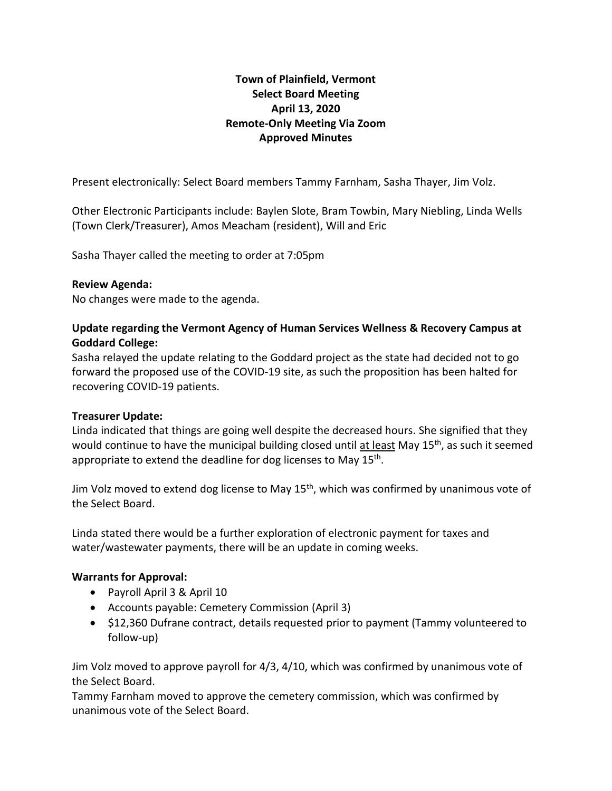# **Town of Plainfield, Vermont Select Board Meeting April 13, 2020 Remote-Only Meeting Via Zoom Approved Minutes**

Present electronically: Select Board members Tammy Farnham, Sasha Thayer, Jim Volz.

Other Electronic Participants include: Baylen Slote, Bram Towbin, Mary Niebling, Linda Wells (Town Clerk/Treasurer), Amos Meacham (resident), Will and Eric

Sasha Thayer called the meeting to order at 7:05pm

#### **Review Agenda:**

No changes were made to the agenda.

## **Update regarding the Vermont Agency of Human Services Wellness & Recovery Campus at Goddard College:**

Sasha relayed the update relating to the Goddard project as the state had decided not to go forward the proposed use of the COVID-19 site, as such the proposition has been halted for recovering COVID-19 patients.

## **Treasurer Update:**

Linda indicated that things are going well despite the decreased hours. She signified that they would continue to have the municipal building closed until at least May 15<sup>th</sup>, as such it seemed appropriate to extend the deadline for dog licenses to May 15<sup>th</sup>.

Jim Volz moved to extend dog license to May 15<sup>th</sup>, which was confirmed by unanimous vote of the Select Board.

Linda stated there would be a further exploration of electronic payment for taxes and water/wastewater payments, there will be an update in coming weeks.

## **Warrants for Approval:**

- Payroll April 3 & April 10
- Accounts payable: Cemetery Commission (April 3)
- \$12,360 Dufrane contract, details requested prior to payment (Tammy volunteered to follow-up)

Jim Volz moved to approve payroll for 4/3, 4/10, which was confirmed by unanimous vote of the Select Board.

Tammy Farnham moved to approve the cemetery commission, which was confirmed by unanimous vote of the Select Board.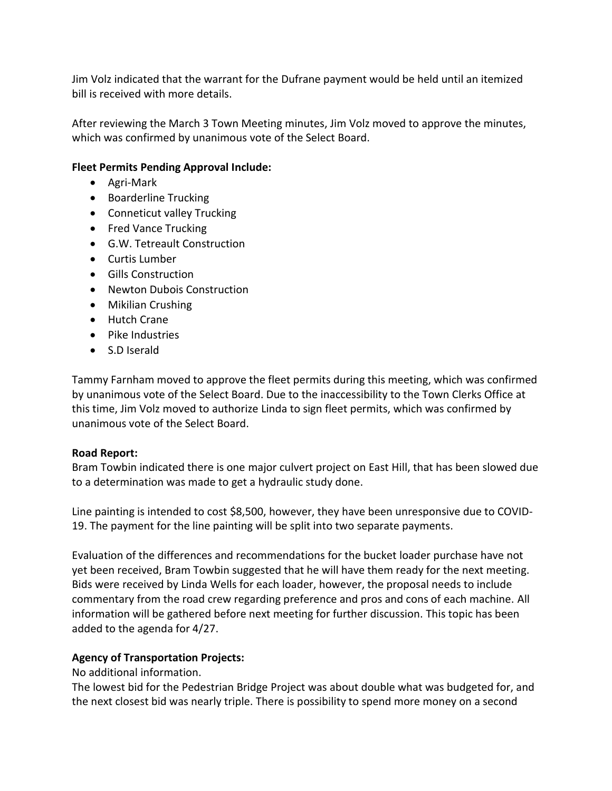Jim Volz indicated that the warrant for the Dufrane payment would be held until an itemized bill is received with more details.

After reviewing the March 3 Town Meeting minutes, Jim Volz moved to approve the minutes, which was confirmed by unanimous vote of the Select Board.

## **Fleet Permits Pending Approval Include:**

- Agri-Mark
- Boarderline Trucking
- Conneticut valley Trucking
- Fred Vance Trucking
- G.W. Tetreault Construction
- Curtis Lumber
- Gills Construction
- Newton Dubois Construction
- Mikilian Crushing
- Hutch Crane
- Pike Industries
- S.D Iserald

Tammy Farnham moved to approve the fleet permits during this meeting, which was confirmed by unanimous vote of the Select Board. Due to the inaccessibility to the Town Clerks Office at this time, Jim Volz moved to authorize Linda to sign fleet permits, which was confirmed by unanimous vote of the Select Board.

## **Road Report:**

Bram Towbin indicated there is one major culvert project on East Hill, that has been slowed due to a determination was made to get a hydraulic study done.

Line painting is intended to cost \$8,500, however, they have been unresponsive due to COVID-19. The payment for the line painting will be split into two separate payments.

Evaluation of the differences and recommendations for the bucket loader purchase have not yet been received, Bram Towbin suggested that he will have them ready for the next meeting. Bids were received by Linda Wells for each loader, however, the proposal needs to include commentary from the road crew regarding preference and pros and cons of each machine. All information will be gathered before next meeting for further discussion. This topic has been added to the agenda for 4/27.

## **Agency of Transportation Projects:**

## No additional information.

The lowest bid for the Pedestrian Bridge Project was about double what was budgeted for, and the next closest bid was nearly triple. There is possibility to spend more money on a second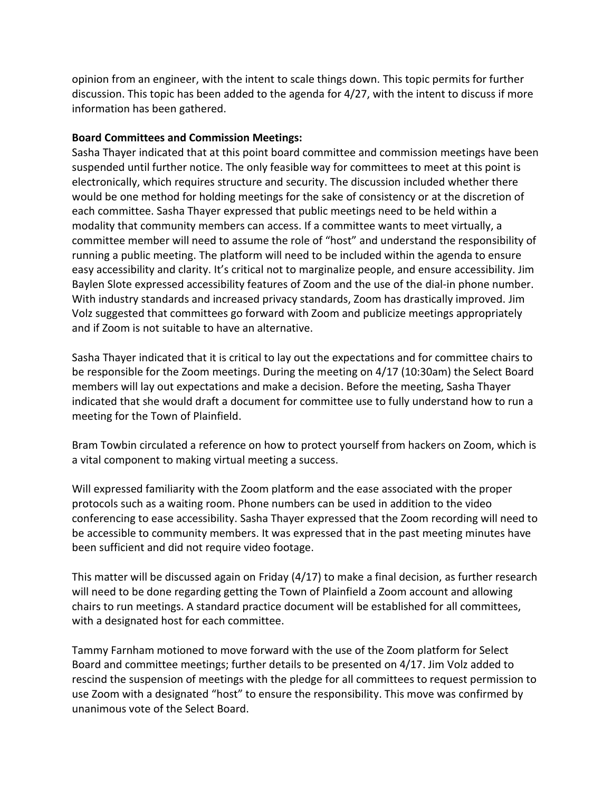opinion from an engineer, with the intent to scale things down. This topic permits for further discussion. This topic has been added to the agenda for 4/27, with the intent to discuss if more information has been gathered.

#### **Board Committees and Commission Meetings:**

Sasha Thayer indicated that at this point board committee and commission meetings have been suspended until further notice. The only feasible way for committees to meet at this point is electronically, which requires structure and security. The discussion included whether there would be one method for holding meetings for the sake of consistency or at the discretion of each committee. Sasha Thayer expressed that public meetings need to be held within a modality that community members can access. If a committee wants to meet virtually, a committee member will need to assume the role of "host" and understand the responsibility of running a public meeting. The platform will need to be included within the agenda to ensure easy accessibility and clarity. It's critical not to marginalize people, and ensure accessibility. Jim Baylen Slote expressed accessibility features of Zoom and the use of the dial-in phone number. With industry standards and increased privacy standards, Zoom has drastically improved. Jim Volz suggested that committees go forward with Zoom and publicize meetings appropriately and if Zoom is not suitable to have an alternative.

Sasha Thayer indicated that it is critical to lay out the expectations and for committee chairs to be responsible for the Zoom meetings. During the meeting on 4/17 (10:30am) the Select Board members will lay out expectations and make a decision. Before the meeting, Sasha Thayer indicated that she would draft a document for committee use to fully understand how to run a meeting for the Town of Plainfield.

Bram Towbin circulated a reference on how to protect yourself from hackers on Zoom, which is a vital component to making virtual meeting a success.

Will expressed familiarity with the Zoom platform and the ease associated with the proper protocols such as a waiting room. Phone numbers can be used in addition to the video conferencing to ease accessibility. Sasha Thayer expressed that the Zoom recording will need to be accessible to community members. It was expressed that in the past meeting minutes have been sufficient and did not require video footage.

This matter will be discussed again on Friday (4/17) to make a final decision, as further research will need to be done regarding getting the Town of Plainfield a Zoom account and allowing chairs to run meetings. A standard practice document will be established for all committees, with a designated host for each committee.

Tammy Farnham motioned to move forward with the use of the Zoom platform for Select Board and committee meetings; further details to be presented on 4/17. Jim Volz added to rescind the suspension of meetings with the pledge for all committees to request permission to use Zoom with a designated "host" to ensure the responsibility. This move was confirmed by unanimous vote of the Select Board.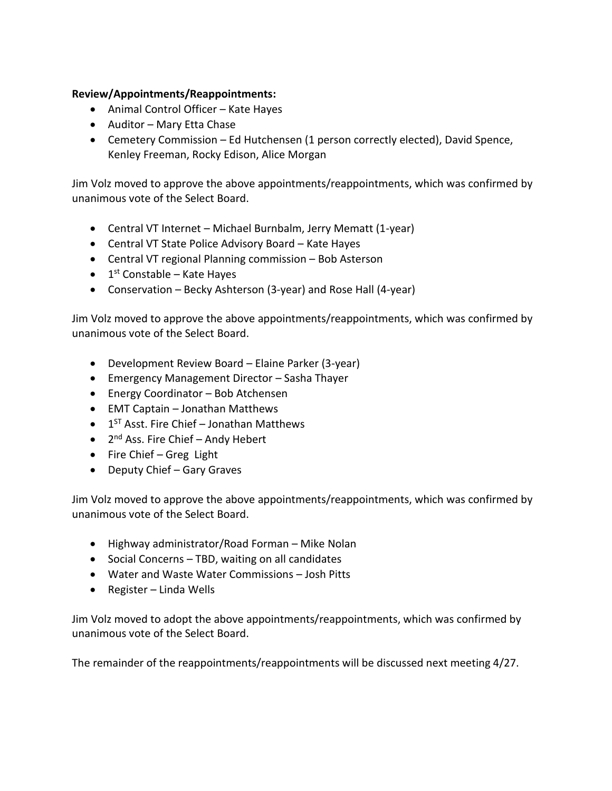#### **Review/Appointments/Reappointments:**

- Animal Control Officer Kate Hayes
- Auditor Mary Etta Chase
- Cemetery Commission Ed Hutchensen (1 person correctly elected), David Spence, Kenley Freeman, Rocky Edison, Alice Morgan

Jim Volz moved to approve the above appointments/reappointments, which was confirmed by unanimous vote of the Select Board.

- Central VT Internet Michael Burnbalm, Jerry Mematt (1-year)
- Central VT State Police Advisory Board Kate Hayes
- Central VT regional Planning commission Bob Asterson
- $\bullet$  1<sup>st</sup> Constable Kate Hayes
- Conservation Becky Ashterson (3-year) and Rose Hall (4-year)

Jim Volz moved to approve the above appointments/reappointments, which was confirmed by unanimous vote of the Select Board.

- Development Review Board Elaine Parker (3-year)
- Emergency Management Director Sasha Thayer
- Energy Coordinator Bob Atchensen
- EMT Captain Jonathan Matthews
- 1<sup>ST</sup> Asst. Fire Chief Jonathan Matthews
- 2<sup>nd</sup> Ass. Fire Chief Andy Hebert
- Fire Chief Greg Light
- Deputy Chief Gary Graves

Jim Volz moved to approve the above appointments/reappointments, which was confirmed by unanimous vote of the Select Board.

- Highway administrator/Road Forman Mike Nolan
- Social Concerns TBD, waiting on all candidates
- Water and Waste Water Commissions Josh Pitts
- Register Linda Wells

Jim Volz moved to adopt the above appointments/reappointments, which was confirmed by unanimous vote of the Select Board.

The remainder of the reappointments/reappointments will be discussed next meeting 4/27.